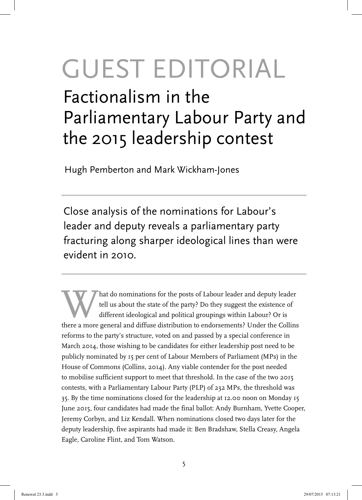# GUEST EDITORIAL

# Factionalism in the Parliamentary Labour Party and the 2015 leadership contest

Hugh Pemberton and Mark Wickham-Jones

Close analysis of the nominations for Labour's leader and deputy reveals a parliamentary party fracturing along sharper ideological lines than were evident in 2010.

hat do nominations for the posts of Labour leader and deputy leader<br>tell us about the state of the party? Do they suggest the existence of<br>different ideological and political groupings within Labour? Or is<br>there a more gen tell us about the state of the party? Do they suggest the existence of different ideological and political groupings within Labour? Or is there a more general and diffuse distribution to endorsements? Under the Collins reforms to the party's structure, voted on and passed by a special conference in March 2014, those wishing to be candidates for either leadership post need to be publicly nominated by 15 per cent of Labour Members of Parliament (MPs) in the House of Commons (Collins, 2014). Any viable contender for the post needed to mobilise sufficient support to meet that threshold. In the case of the two 2015 contests, with a Parliamentary Labour Party (PLP) of 232 MPs, the threshold was 35. By the time nominations closed for the leadership at 12.00 noon on Monday 15 June 2015, four candidates had made the final ballot: Andy Burnham, Yvette Cooper, Jeremy Corbyn, and Liz Kendall. When nominations closed two days later for the deputy leadership, five aspirants had made it: Ben Bradshaw, Stella Creasy, Angela Eagle, Caroline Flint, and Tom Watson.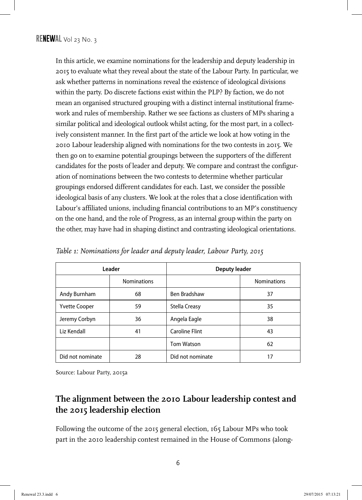In this article, we examine nominations for the leadership and deputy leadership in 2015 to evaluate what they reveal about the state of the Labour Party. In particular, we ask whether patterns in nominations reveal the existence of ideological divisions within the party. Do discrete factions exist within the PLP? By faction, we do not mean an organised structured grouping with a distinct internal institutional framework and rules of membership. Rather we see factions as clusters of MPs sharing a similar political and ideological outlook whilst acting, for the most part, in a collectively consistent manner. In the first part of the article we look at how voting in the 2010 Labour leadership aligned with nominations for the two contests in 2015. We then go on to examine potential groupings between the supporters of the different candidates for the posts of leader and deputy. We compare and contrast the configuration of nominations between the two contests to determine whether particular groupings endorsed different candidates for each. Last, we consider the possible ideological basis of any clusters. We look at the roles that a close identification with Labour's affiliated unions, including financial contributions to an MP's constituency on the one hand, and the role of Progress, as an internal group within the party on the other, may have had in shaping distinct and contrasting ideological orientations.

|                      | Leader             | <b>Deputy leader</b>  |                    |  |  |  |
|----------------------|--------------------|-----------------------|--------------------|--|--|--|
|                      | <b>Nominations</b> |                       | <b>Nominations</b> |  |  |  |
| Andy Burnham         | 68                 | Ben Bradshaw          | 37                 |  |  |  |
| <b>Yvette Cooper</b> | 59                 | <b>Stella Creasy</b>  | 35                 |  |  |  |
| Jeremy Corbyn        | 36                 | Angela Eagle          | 38                 |  |  |  |
| Liz Kendall          | 41                 | <b>Caroline Flint</b> | 43                 |  |  |  |
|                      |                    | <b>Tom Watson</b>     | 62                 |  |  |  |
| Did not nominate     | 28                 | Did not nominate      | 17                 |  |  |  |

*Table 1: Nominations for leader and deputy leader, Labour Party, 2015*

Source: Labour Party, 2015a

## **The alignment between the 2010 Labour leadership contest and the 2015 leadership election**

Following the outcome of the 2015 general election, 165 Labour MPs who took part in the 2010 leadership contest remained in the House of Commons (along-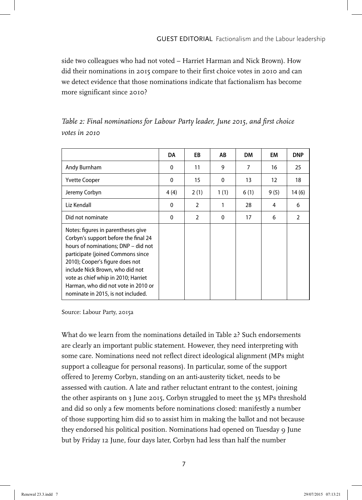side two colleagues who had not voted – Harriet Harman and Nick Brown). How did their nominations in 2015 compare to their first choice votes in 2010 and can we detect evidence that those nominations indicate that factionalism has become more significant since 2010?

|                                                                                                                                                                                                                                                                                                                                                  | DA           | EB             | AB       | <b>DM</b> | EM   | <b>DNP</b>     |
|--------------------------------------------------------------------------------------------------------------------------------------------------------------------------------------------------------------------------------------------------------------------------------------------------------------------------------------------------|--------------|----------------|----------|-----------|------|----------------|
| Andy Burnham                                                                                                                                                                                                                                                                                                                                     | $\mathbf{0}$ | 11             | 9        | 7         | 16   | 25             |
| <b>Yvette Cooper</b>                                                                                                                                                                                                                                                                                                                             | 0            | 15             | 0        | 13        | 12   | 18             |
| Jeremy Corbyn                                                                                                                                                                                                                                                                                                                                    | 4 (4)        | 2(1)           | 1(1)     | 6(1)      | 9(5) | 14 (6)         |
| Liz Kendall                                                                                                                                                                                                                                                                                                                                      | 0            | $\overline{2}$ | 1        | 28        | 4    | 6              |
| Did not nominate                                                                                                                                                                                                                                                                                                                                 | $\Omega$     | $\mathfrak{p}$ | $\Omega$ | 17        | 6    | $\mathfrak{p}$ |
| Notes: figures in parentheses give<br>Corbyn's support before the final 24<br>hours of nominations; DNP - did not<br>participate (joined Commons since<br>2010); Cooper's figure does not<br>include Nick Brown, who did not<br>vote as chief whip in 2010; Harriet<br>Harman, who did not vote in 2010 or<br>nominate in 2015, is not included. |              |                |          |           |      |                |

|               | Table 2: Final nominations for Labour Party leader, June 2015, and first choice |  |  |  |  |
|---------------|---------------------------------------------------------------------------------|--|--|--|--|
| votes in 2010 |                                                                                 |  |  |  |  |

Source: Labour Party, 2015a

What do we learn from the nominations detailed in Table 2? Such endorsements are clearly an important public statement. However, they need interpreting with some care. Nominations need not reflect direct ideological alignment (MPs might support a colleague for personal reasons). In particular, some of the support offered to Jeremy Corbyn, standing on an anti-austerity ticket, needs to be assessed with caution. A late and rather reluctant entrant to the contest, joining the other aspirants on 3 June 2015, Corbyn struggled to meet the 35 MPs threshold and did so only a few moments before nominations closed: manifestly a number of those supporting him did so to assist him in making the ballot and not because they endorsed his political position. Nominations had opened on Tuesday 9 June but by Friday 12 June, four days later, Corbyn had less than half the number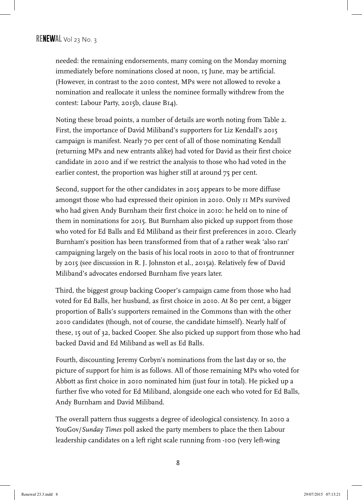needed: the remaining endorsements, many coming on the Monday morning immediately before nominations closed at noon, 15 June, may be artificial. (However, in contrast to the 2010 contest, MPs were not allowed to revoke a nomination and reallocate it unless the nominee formally withdrew from the contest: Labour Party, 2015b, clause B14).

Noting these broad points, a number of details are worth noting from Table 2. First, the importance of David Miliband's supporters for Liz Kendall's 2015 campaign is manifest. Nearly 70 per cent of all of those nominating Kendall (returning MPs and new entrants alike) had voted for David as their first choice candidate in 2010 and if we restrict the analysis to those who had voted in the earlier contest, the proportion was higher still at around 75 per cent.

Second, support for the other candidates in 2015 appears to be more diffuse amongst those who had expressed their opinion in 2010. Only 11 MPs survived who had given Andy Burnham their first choice in 2010: he held on to nine of them in nominations for 2015. But Burnham also picked up support from those who voted for Ed Balls and Ed Miliband as their first preferences in 2010. Clearly Burnham's position has been transformed from that of a rather weak 'also ran' campaigning largely on the basis of his local roots in 2010 to that of frontrunner by 2015 (see discussion in R. J. Johnston et al., 2015a). Relatively few of David Miliband's advocates endorsed Burnham five years later.

Third, the biggest group backing Cooper's campaign came from those who had voted for Ed Balls, her husband, as first choice in 2010. At 80 per cent, a bigger proportion of Balls's supporters remained in the Commons than with the other 2010 candidates (though, not of course, the candidate himself). Nearly half of these, 15 out of 32, backed Cooper. She also picked up support from those who had backed David and Ed Miliband as well as Ed Balls.

Fourth, discounting Jeremy Corbyn's nominations from the last day or so, the picture of support for him is as follows. All of those remaining MPs who voted for Abbott as first choice in 2010 nominated him (just four in total). He picked up a further five who voted for Ed Miliband, alongside one each who voted for Ed Balls, Andy Burnham and David Miliband.

The overall pattern thus suggests a degree of ideological consistency. In 2010 a YouGov/*Sunday Times* poll asked the party members to place the then Labour leadership candidates on a left right scale running from -100 (very left-wing

8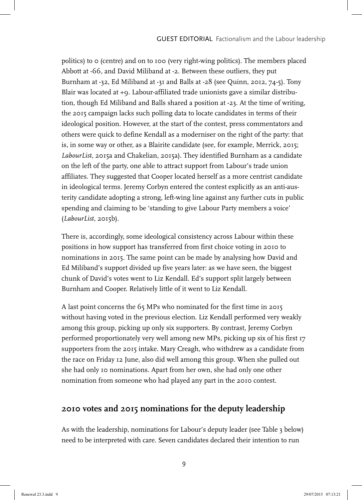politics) to 0 (centre) and on to 100 (very right-wing politics). The members placed Abbott at -66, and David Miliband at -2. Between these outliers, they put Burnham at -32, Ed Miliband at -31 and Balls at -28 (see Quinn, 2012, 74-5). Tony Blair was located at +9. Labour-affiliated trade unionists gave a similar distribution, though Ed Miliband and Balls shared a position at -23. At the time of writing, the 2015 campaign lacks such polling data to locate candidates in terms of their ideological position. However, at the start of the contest, press commentators and others were quick to define Kendall as a moderniser on the right of the party: that is, in some way or other, as a Blairite candidate (see, for example, Merrick, 2015; *LabourList*, 2015a and Chakelian, 2015a). They identified Burnham as a candidate on the left of the party, one able to attract support from Labour's trade union affiliates. They suggested that Cooper located herself as a more centrist candidate in ideological terms. Jeremy Corbyn entered the contest explicitly as an anti-austerity candidate adopting a strong, left-wing line against any further cuts in public spending and claiming to be 'standing to give Labour Party members a voice' (*LabourList*, 2015b).

There is, accordingly, some ideological consistency across Labour within these positions in how support has transferred from first choice voting in 2010 to nominations in 2015. The same point can be made by analysing how David and Ed Miliband's support divided up five years later: as we have seen, the biggest chunk of David's votes went to Liz Kendall. Ed's support split largely between Burnham and Cooper. Relatively little of it went to Liz Kendall.

A last point concerns the 65 MPs who nominated for the first time in 2015 without having voted in the previous election. Liz Kendall performed very weakly among this group, picking up only six supporters. By contrast, Jeremy Corbyn performed proportionately very well among new MPs, picking up six of his first 17 supporters from the 2015 intake. Mary Creagh, who withdrew as a candidate from the race on Friday 12 June, also did well among this group. When she pulled out she had only 10 nominations. Apart from her own, she had only one other nomination from someone who had played any part in the 2010 contest.

#### **2010 votes and 2015 nominations for the deputy leadership**

As with the leadership, nominations for Labour's deputy leader (see Table 3 below) need to be interpreted with care. Seven candidates declared their intention to run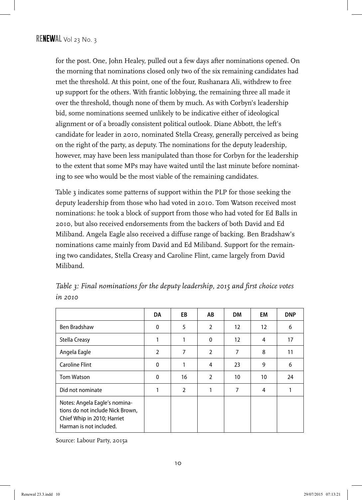for the post. One, John Healey, pulled out a few days after nominations opened. On the morning that nominations closed only two of the six remaining candidates had met the threshold. At this point, one of the four, Rushanara Ali, withdrew to free up support for the others. With frantic lobbying, the remaining three all made it over the threshold, though none of them by much. As with Corbyn's leadership bid, some nominations seemed unlikely to be indicative either of ideological alignment or of a broadly consistent political outlook. Diane Abbott, the left's candidate for leader in 2010, nominated Stella Creasy, generally perceived as being on the right of the party, as deputy. The nominations for the deputy leadership, however, may have been less manipulated than those for Corbyn for the leadership to the extent that some MPs may have waited until the last minute before nominating to see who would be the most viable of the remaining candidates.

Table 3 indicates some patterns of support within the PLP for those seeking the deputy leadership from those who had voted in 2010. Tom Watson received most nominations: he took a block of support from those who had voted for Ed Balls in 2010, but also received endorsements from the backers of both David and Ed Miliband. Angela Eagle also received a diffuse range of backing. Ben Bradshaw's nominations came mainly from David and Ed Miliband. Support for the remaining two candidates, Stella Creasy and Caroline Flint, came largely from David Miliband.

|                                                                                                                             | DA             | EB             | AB             | <b>DM</b>         | EM | <b>DNP</b> |
|-----------------------------------------------------------------------------------------------------------------------------|----------------|----------------|----------------|-------------------|----|------------|
| Ben Bradshaw                                                                                                                | 0              | 5              | $\overline{2}$ | 12                | 12 | 6          |
| Stella Creasy                                                                                                               | 1              |                | 0              | $12 \overline{ }$ | 4  | 17         |
| Angela Eagle                                                                                                                | $\overline{2}$ | 7              | $\overline{2}$ | 7                 | 8  | 11         |
| <b>Caroline Flint</b>                                                                                                       | 0              | 1              | 4              | 23                | 9  | 6          |
| <b>Tom Watson</b>                                                                                                           | $\mathbf{0}$   | 16             | $\overline{2}$ | 10                | 10 | 24         |
| Did not nominate                                                                                                            | 1              | $\overline{2}$ | 1              | 7                 | 4  |            |
| Notes: Angela Eagle's nomina-<br>tions do not include Nick Brown,<br>Chief Whip in 2010; Harriet<br>Harman is not included. |                |                |                |                   |    |            |

*Table 3: Final nominations for the deputy leadership, 2015 and first choice votes in 2010*

Source: Labour Party, 2015a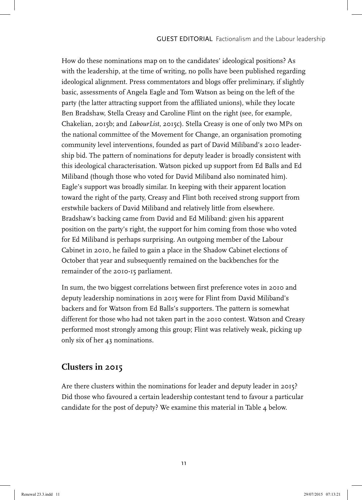How do these nominations map on to the candidates' ideological positions? As with the leadership, at the time of writing, no polls have been published regarding ideological alignment. Press commentators and blogs offer preliminary, if slightly basic, assessments of Angela Eagle and Tom Watson as being on the left of the party (the latter attracting support from the affiliated unions), while they locate Ben Bradshaw, Stella Creasy and Caroline Flint on the right (see, for example, Chakelian, 2015b; and *LabourList*, 2015c). Stella Creasy is one of only two MPs on the national committee of the Movement for Change, an organisation promoting community level interventions, founded as part of David Miliband's 2010 leadership bid. The pattern of nominations for deputy leader is broadly consistent with this ideological characterisation. Watson picked up support from Ed Balls and Ed Miliband (though those who voted for David Miliband also nominated him). Eagle's support was broadly similar. In keeping with their apparent location toward the right of the party, Creasy and Flint both received strong support from erstwhile backers of David Miliband and relatively little from elsewhere. Bradshaw's backing came from David and Ed Miliband: given his apparent position on the party's right, the support for him coming from those who voted for Ed Miliband is perhaps surprising. An outgoing member of the Labour Cabinet in 2010, he failed to gain a place in the Shadow Cabinet elections of October that year and subsequently remained on the backbenches for the remainder of the 2010-15 parliament.

In sum, the two biggest correlations between first preference votes in 2010 and deputy leadership nominations in 2015 were for Flint from David Miliband's backers and for Watson from Ed Balls's supporters. The pattern is somewhat different for those who had not taken part in the 2010 contest. Watson and Creasy performed most strongly among this group; Flint was relatively weak, picking up only six of her 43 nominations.

#### **Clusters in 2015**

Are there clusters within the nominations for leader and deputy leader in 2015? Did those who favoured a certain leadership contestant tend to favour a particular candidate for the post of deputy? We examine this material in Table 4 below.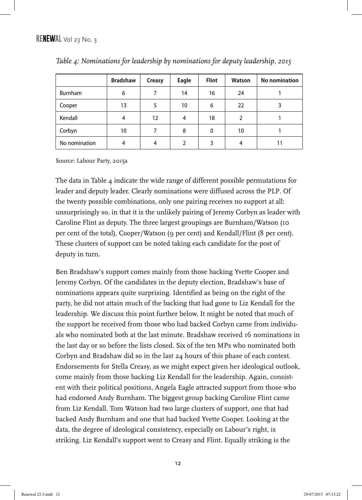|                | <b>Bradshaw</b> | Creasy | Eagle         | <b>Flint</b> | Watson | No nomination |
|----------------|-----------------|--------|---------------|--------------|--------|---------------|
| <b>Burnham</b> | 6               |        | 14            | 16           | 24     |               |
| Cooper         | 13              |        | 10            | 6            | 22     |               |
| Kendall        | 4               | 12     | 4             | 18           | 2      |               |
| Corbyn         | 10              |        | 8             | 0            | 10     |               |
| No nomination  | 4               | 4      | $\mathcal{P}$ | ξ            | 4      |               |

|  |  | Table 4: Nominations for leadership by nominations for deputy leadership, 2015 |  |  |  |
|--|--|--------------------------------------------------------------------------------|--|--|--|
|  |  |                                                                                |  |  |  |

Source: Labour Party, 2015a

The data in Table 4 indicate the wide range of different possible permutations for leader and deputy leader. Clearly nominations were diffused across the PLP. Of the twenty possible combinations, only one pairing receives no support at all: unsurprisingly so, in that it is the unlikely pairing of Jeremy Corbyn as leader with Caroline Flint as deputy. The three largest groupings are Burnham/Watson (10 per cent of the total), Cooper/Watson (9 per cent) and Kendall/Flint (8 per cent). These clusters of support can be noted taking each candidate for the post of deputy in turn.

Ben Bradshaw's support comes mainly from those backing Yvette Cooper and Jeremy Corbyn. Of the candidates in the deputy election, Bradshaw's base of nominations appears quite surprising. Identified as being on the right of the party, he did not attain much of the backing that had gone to Liz Kendall for the leadership. We discuss this point further below. It might be noted that much of the support he received from those who had backed Corbyn came from individuals who nominated both at the last minute. Bradshaw received 16 nominations in the last day or so before the lists closed. Six of the ten MPs who nominated both Corbyn and Bradshaw did so in the last 24 hours of this phase of each contest. Endorsements for Stella Creasy, as we might expect given her ideological outlook, come mainly from those backing Liz Kendall for the leadership. Again, consistent with their political positions, Angela Eagle attracted support from those who had endorsed Andy Burnham. The biggest group backing Caroline Flint came from Liz Kendall. Tom Watson had two large clusters of support, one that had backed Andy Burnham and one that had backed Yvette Cooper. Looking at the data, the degree of ideological consistency, especially on Labour's right, is striking. Liz Kendall's support went to Creasy and Flint. Equally striking is the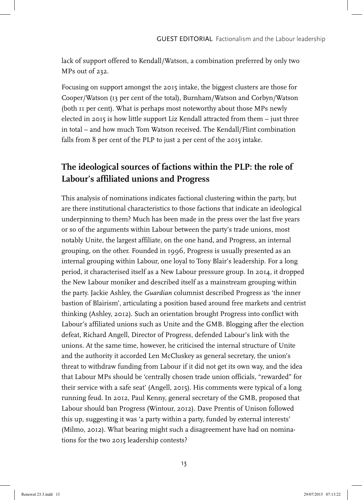lack of support offered to Kendall/Watson, a combination preferred by only two MPs out of 232.

Focusing on support amongst the 2015 intake, the biggest clusters are those for Cooper/Watson (13 per cent of the total), Burnham/Watson and Corbyn/Watson (both 11 per cent). What is perhaps most noteworthy about those MPs newly elected in 2015 is how little support Liz Kendall attracted from them – just three in total – and how much Tom Watson received. The Kendall/Flint combination falls from 8 per cent of the PLP to just 2 per cent of the 2015 intake.

## **The ideological sources of factions within the PLP: the role of Labour's affiliated unions and Progress**

This analysis of nominations indicates factional clustering within the party, but are there institutional characteristics to those factions that indicate an ideological underpinning to them? Much has been made in the press over the last five years or so of the arguments within Labour between the party's trade unions, most notably Unite, the largest affiliate, on the one hand, and Progress, an internal grouping, on the other. Founded in 1996, Progress is usually presented as an internal grouping within Labour, one loyal to Tony Blair's leadership. For a long period, it characterised itself as a New Labour pressure group. In 2014, it dropped the New Labour moniker and described itself as a mainstream grouping within the party. Jackie Ashley, the *Guardian* columnist described Progress as 'the inner bastion of Blairism', articulating a position based around free markets and centrist thinking (Ashley, 2012). Such an orientation brought Progress into conflict with Labour's affiliated unions such as Unite and the GMB. Blogging after the election defeat, Richard Angell, Director of Progress, defended Labour's link with the unions. At the same time, however, he criticised the internal structure of Unite and the authority it accorded Len McCluskey as general secretary, the union's threat to withdraw funding from Labour if it did not get its own way, and the idea that Labour MPs should be 'centrally chosen trade union officials, "rewarded" for their service with a safe seat' (Angell, 2015). His comments were typical of a long running feud. In 2012, Paul Kenny, general secretary of the GMB, proposed that Labour should ban Progress (Wintour, 2012). Dave Prentis of Unison followed this up, suggesting it was 'a party within a party, funded by external interests' (Milmo, 2012). What bearing might such a disagreement have had on nominations for the two 2015 leadership contests?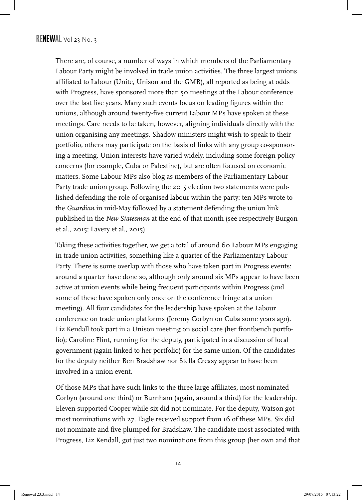There are, of course, a number of ways in which members of the Parliamentary Labour Party might be involved in trade union activities. The three largest unions affiliated to Labour (Unite, Unison and the GMB), all reported as being at odds with Progress, have sponsored more than 50 meetings at the Labour conference over the last five years. Many such events focus on leading figures within the unions, although around twenty-five current Labour MPs have spoken at these meetings. Care needs to be taken, however, aligning individuals directly with the union organising any meetings. Shadow ministers might wish to speak to their portfolio, others may participate on the basis of links with any group co-sponsoring a meeting. Union interests have varied widely, including some foreign policy concerns (for example, Cuba or Palestine), but are often focused on economic matters. Some Labour MPs also blog as members of the Parliamentary Labour Party trade union group. Following the 2015 election two statements were published defending the role of organised labour within the party: ten MPs wrote to the *Guardian* in mid-May followed by a statement defending the union link published in the *New Statesman* at the end of that month (see respectively Burgon et al., 2015; Lavery et al., 2015).

Taking these activities together, we get a total of around 60 Labour MPs engaging in trade union activities, something like a quarter of the Parliamentary Labour Party. There is some overlap with those who have taken part in Progress events: around a quarter have done so, although only around six MPs appear to have been active at union events while being frequent participants within Progress (and some of these have spoken only once on the conference fringe at a union meeting). All four candidates for the leadership have spoken at the Labour conference on trade union platforms (Jeremy Corbyn on Cuba some years ago). Liz Kendall took part in a Unison meeting on social care (her frontbench portfolio); Caroline Flint, running for the deputy, participated in a discussion of local government (again linked to her portfolio) for the same union. Of the candidates for the deputy neither Ben Bradshaw nor Stella Creasy appear to have been involved in a union event.

Of those MPs that have such links to the three large affiliates, most nominated Corbyn (around one third) or Burnham (again, around a third) for the leadership. Eleven supported Cooper while six did not nominate. For the deputy, Watson got most nominations with 27. Eagle received support from 16 of these MPs. Six did not nominate and five plumped for Bradshaw. The candidate most associated with Progress, Liz Kendall, got just two nominations from this group (her own and that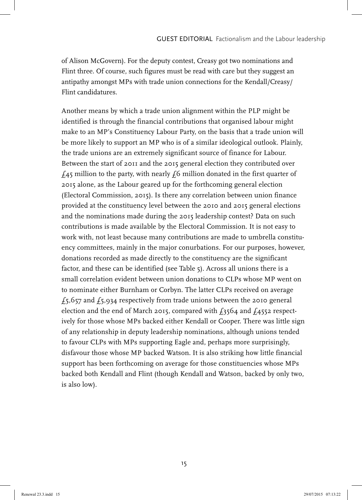of Alison McGovern). For the deputy contest, Creasy got two nominations and Flint three. Of course, such figures must be read with care but they suggest an antipathy amongst MPs with trade union connections for the Kendall/Creasy/ Flint candidatures.

Another means by which a trade union alignment within the PLP might be identified is through the financial contributions that organised labour might make to an MP's Constituency Labour Party, on the basis that a trade union will be more likely to support an MP who is of a similar ideological outlook. Plainly, the trade unions are an extremely significant source of finance for Labour. Between the start of 2011 and the 2015 general election they contributed over  $f<sub>45</sub>$  million to the party, with nearly  $f<sub>6</sub>$  million donated in the first quarter of 2015 alone, as the Labour geared up for the forthcoming general election (Electoral Commission, 2015). Is there any correlation between union finance provided at the constituency level between the 2010 and 2015 general elections and the nominations made during the 2015 leadership contest? Data on such contributions is made available by the Electoral Commission. It is not easy to work with, not least because many contributions are made to umbrella constituency committees, mainly in the major conurbations. For our purposes, however, donations recorded as made directly to the constituency are the significant factor, and these can be identified (see Table 5). Across all unions there is a small correlation evident between union donations to CLPs whose MP went on to nominate either Burnham or Corbyn. The latter CLPs received on average  $f_5$ ,657 and  $f_5$ ,934 respectively from trade unions between the 2010 general election and the end of March 2015, compared with  $f_3564$  and  $f_4552$  respectively for those whose MPs backed either Kendall or Cooper. There was little sign of any relationship in deputy leadership nominations, although unions tended to favour CLPs with MPs supporting Eagle and, perhaps more surprisingly, disfavour those whose MP backed Watson. It is also striking how little financial support has been forthcoming on average for those constituencies whose MPs backed both Kendall and Flint (though Kendall and Watson, backed by only two, is also low).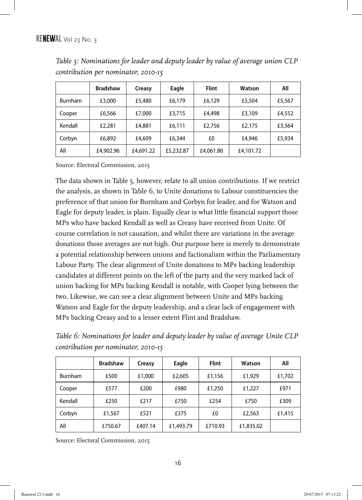|                | <b>Bradshaw</b> | Creasy    | Eagle     | <b>Flint</b> | Watson    | All    |
|----------------|-----------------|-----------|-----------|--------------|-----------|--------|
| <b>Burnham</b> | £3,000          | £5,480    | £6,179    | £6,129       | £5,504    | £5,567 |
| Cooper         | £6,566          | £7,000    | £3,715    | £4,498       | £3,109    | £4,552 |
| Kendall        | £2,281          | £4,881    | £6,111    | £2,756       | £2,175    | £3,564 |
| Corbyn         | £6,892          | £4,609    | £6,344    | £0           | £4,946    | £5,934 |
| All            | £4,902.96       | £4,691.22 | £5,232.87 | £4,061.80    | £4,101.72 |        |

*Table 5: Nominations for leader and deputy leader by value of average union CLP contribution per nominator, 2010-15*

Source: Electoral Commission, 2015

The data shown in Table 5, however, relate to all union contributions. If we restrict the analysis, as shown in Table 6, to Unite donations to Labour constituencies the preference of that union for Burnham and Corbyn for leader, and for Watson and Eagle for deputy leader, is plain. Equally clear is what little financial support those MPs who have backed Kendall as well as Creasy have received from Unite. Of course correlation is not causation, and whilst there are variations in the average donations those averages are not high. Our purpose here is merely to demonstrate a potential relationship between unions and factionalism within the Parliamentary Labour Party. The clear alignment of Unite donations to MPs backing leadership candidates at different points on the left of the party and the very marked lack of union backing for MPs backing Kendall is notable, with Cooper lying between the two. Likewise, we can see a clear alignment between Unite and MPs backing Watson and Eagle for the deputy leadership, and a clear lack of engagement with MPs backing Creasy and to a lesser extent Flint and Bradshaw.

*Table 6: Nominations for leader and deputy leader by value of average Unite CLP contribution per nominator, 2010-15*

|                | <b>Bradshaw</b> | Creasy  | Eagle     | <b>Flint</b> | Watson    | All    |
|----------------|-----------------|---------|-----------|--------------|-----------|--------|
| <b>Burnham</b> | £500            | £1,000  | £2,605    | £1,156       | £1,929    | £1,702 |
| Cooper         | £577            | £200    | £980      | £1,250       | £1,227    | £971   |
| Kendall        | £250            | £217    | £750      | £254         | £750      | £309   |
| Corbyn         | £1,567          | £521    | £375      | £0           | £2,563    | £1,415 |
| All            | £750.67         | £407.14 | £1,493.79 | £710.93      | £1,835.02 |        |

Source: Electoral Commission, 2015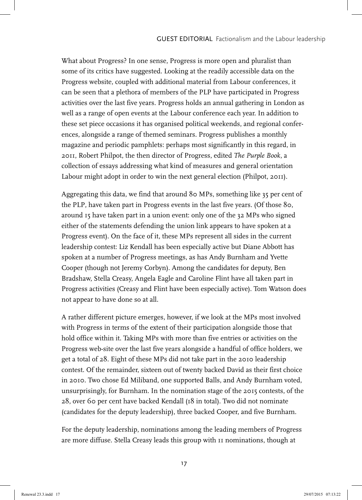What about Progress? In one sense, Progress is more open and pluralist than some of its critics have suggested. Looking at the readily accessible data on the Progress website, coupled with additional material from Labour conferences, it can be seen that a plethora of members of the PLP have participated in Progress activities over the last five years. Progress holds an annual gathering in London as well as a range of open events at the Labour conference each year. In addition to these set piece occasions it has organised political weekends, and regional conferences, alongside a range of themed seminars. Progress publishes a monthly magazine and periodic pamphlets: perhaps most significantly in this regard, in 2011, Robert Philpot, the then director of Progress, edited *The Purple Book*, a collection of essays addressing what kind of measures and general orientation Labour might adopt in order to win the next general election (Philpot, 2011).

Aggregating this data, we find that around 80 MPs, something like 35 per cent of the PLP, have taken part in Progress events in the last five years. (Of those 80, around 15 have taken part in a union event: only one of the 32 MPs who signed either of the statements defending the union link appears to have spoken at a Progress event). On the face of it, these MPs represent all sides in the current leadership contest: Liz Kendall has been especially active but Diane Abbott has spoken at a number of Progress meetings, as has Andy Burnham and Yvette Cooper (though not Jeremy Corbyn). Among the candidates for deputy, Ben Bradshaw, Stella Creasy, Angela Eagle and Caroline Flint have all taken part in Progress activities (Creasy and Flint have been especially active). Tom Watson does not appear to have done so at all.

A rather different picture emerges, however, if we look at the MPs most involved with Progress in terms of the extent of their participation alongside those that hold office within it. Taking MPs with more than five entries or activities on the Progress web-site over the last five years alongside a handful of office holders, we get a total of 28. Eight of these MPs did not take part in the 2010 leadership contest. Of the remainder, sixteen out of twenty backed David as their first choice in 2010. Two chose Ed Miliband, one supported Balls, and Andy Burnham voted, unsurprisingly, for Burnham. In the nomination stage of the 2015 contests, of the 28, over 60 per cent have backed Kendall (18 in total). Two did not nominate (candidates for the deputy leadership), three backed Cooper, and five Burnham.

For the deputy leadership, nominations among the leading members of Progress are more diffuse. Stella Creasy leads this group with 11 nominations, though at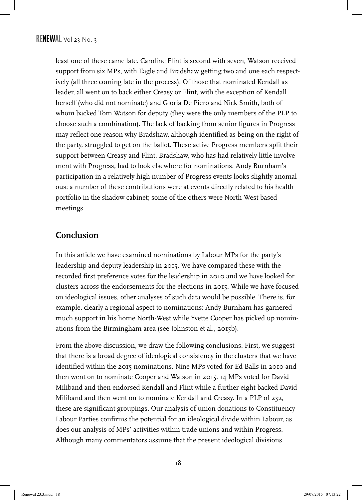least one of these came late. Caroline Flint is second with seven, Watson received support from six MPs, with Eagle and Bradshaw getting two and one each respectively (all three coming late in the process). Of those that nominated Kendall as leader, all went on to back either Creasy or Flint, with the exception of Kendall herself (who did not nominate) and Gloria De Piero and Nick Smith, both of whom backed Tom Watson for deputy (they were the only members of the PLP to choose such a combination). The lack of backing from senior figures in Progress may reflect one reason why Bradshaw, although identified as being on the right of the party, struggled to get on the ballot. These active Progress members split their support between Creasy and Flint. Bradshaw, who has had relatively little involvement with Progress, had to look elsewhere for nominations. Andy Burnham's participation in a relatively high number of Progress events looks slightly anomalous: a number of these contributions were at events directly related to his health portfolio in the shadow cabinet; some of the others were North-West based meetings.

#### **Conclusion**

In this article we have examined nominations by Labour MPs for the party's leadership and deputy leadership in 2015. We have compared these with the recorded first preference votes for the leadership in 2010 and we have looked for clusters across the endorsements for the elections in 2015. While we have focused on ideological issues, other analyses of such data would be possible. There is, for example, clearly a regional aspect to nominations: Andy Burnham has garnered much support in his home North-West while Yvette Cooper has picked up nominations from the Birmingham area (see Johnston et al., 2015b).

From the above discussion, we draw the following conclusions. First, we suggest that there is a broad degree of ideological consistency in the clusters that we have identified within the 2015 nominations. Nine MPs voted for Ed Balls in 2010 and then went on to nominate Cooper and Watson in 2015. 14 MPs voted for David Miliband and then endorsed Kendall and Flint while a further eight backed David Miliband and then went on to nominate Kendall and Creasy. In a PLP of 232, these are significant groupings. Our analysis of union donations to Constituency Labour Parties confirms the potential for an ideological divide within Labour, as does our analysis of MPs' activities within trade unions and within Progress. Although many commentators assume that the present ideological divisions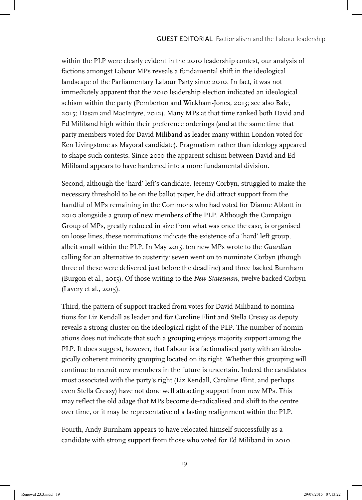within the PLP were clearly evident in the 2010 leadership contest, our analysis of factions amongst Labour MPs reveals a fundamental shift in the ideological landscape of the Parliamentary Labour Party since 2010. In fact, it was not immediately apparent that the 2010 leadership election indicated an ideological schism within the party (Pemberton and Wickham-Jones, 2013; see also Bale, 2015; Hasan and MacIntyre, 2012). Many MPs at that time ranked both David and Ed Miliband high within their preference orderings (and at the same time that party members voted for David Miliband as leader many within London voted for Ken Livingstone as Mayoral candidate). Pragmatism rather than ideology appeared to shape such contests. Since 2010 the apparent schism between David and Ed Miliband appears to have hardened into a more fundamental division.

Second, although the 'hard' left's candidate, Jeremy Corbyn, struggled to make the necessary threshold to be on the ballot paper, he did attract support from the handful of MPs remaining in the Commons who had voted for Dianne Abbott in 2010 alongside a group of new members of the PLP. Although the Campaign Group of MPs, greatly reduced in size from what was once the case, is organised on loose lines, these nominations indicate the existence of a 'hard' left group, albeit small within the PLP. In May 2015, ten new MPs wrote to the *Guardian* calling for an alternative to austerity: seven went on to nominate Corbyn (though three of these were delivered just before the deadline) and three backed Burnham (Burgon et al., 2015). Of those writing to the *New Statesman*, twelve backed Corbyn (Lavery et al., 2015).

Third, the pattern of support tracked from votes for David Miliband to nominations for Liz Kendall as leader and for Caroline Flint and Stella Creasy as deputy reveals a strong cluster on the ideological right of the PLP. The number of nominations does not indicate that such a grouping enjoys majority support among the PLP. It does suggest, however, that Labour is a factionalised party with an ideologically coherent minority grouping located on its right. Whether this grouping will continue to recruit new members in the future is uncertain. Indeed the candidates most associated with the party's right (Liz Kendall, Caroline Flint, and perhaps even Stella Creasy) have not done well attracting support from new MPs. This may reflect the old adage that MPs become de-radicalised and shift to the centre over time, or it may be representative of a lasting realignment within the PLP.

Fourth, Andy Burnham appears to have relocated himself successfully as a candidate with strong support from those who voted for Ed Miliband in 2010.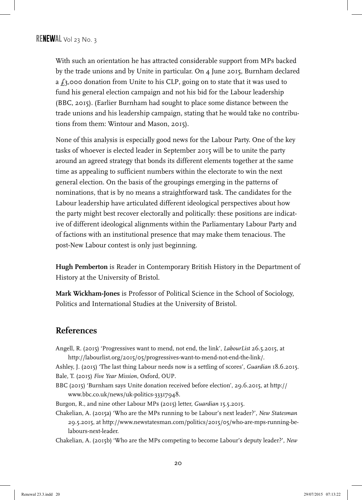With such an orientation he has attracted considerable support from MPs backed by the trade unions and by Unite in particular. On 4 June 2015, Burnham declared a  $f_3$ ,000 donation from Unite to his CLP, going on to state that it was used to fund his general election campaign and not his bid for the Labour leadership (BBC, 2015). (Earlier Burnham had sought to place some distance between the trade unions and his leadership campaign, stating that he would take no contributions from them: Wintour and Mason, 2015).

None of this analysis is especially good news for the Labour Party. One of the key tasks of whoever is elected leader in September 2015 will be to unite the party around an agreed strategy that bonds its different elements together at the same time as appealing to sufficient numbers within the electorate to win the next general election. On the basis of the groupings emerging in the patterns of nominations, that is by no means a straightforward task. The candidates for the Labour leadership have articulated different ideological perspectives about how the party might best recover electorally and politically: these positions are indicative of different ideological alignments within the Parliamentary Labour Party and of factions with an institutional presence that may make them tenacious. The post-New Labour contest is only just beginning.

**Hugh Pemberton** is Reader in Contemporary British History in the Department of History at the University of Bristol.

**Mark Wickham-Jones** is Professor of Political Science in the School of Sociology, Politics and International Studies at the University of Bristol.

#### **References**

- Angell, R. (2015) 'Progressives want to mend, not end, the link', *LabourList* 26.5.2015, at http://labourlist.org/2015/05/progressives-want-to-mend-not-end-the-link/.
- Ashley, J. (2015) 'The last thing Labour needs now is a settling of scores', *Guardian* 18.6.2015. Bale, T. (2015) *Five Year Mission*, Oxford, OUP.
- BBC (2015) 'Burnham says Unite donation received before election', 29.6.2015, at http:// www.bbc.co.uk/news/uk-politics-33317948.
- Burgon, R., and nine other Labour MPs (2015) letter, *Guardian* 15.5.2015.
- Chakelian, A. (2015a) 'Who are the MPs running to be Labour's next leader?', *New Statesman* 29.5.2015, at http://www.newstatesman.com/politics/2015/05/who-are-mps-running-belabours-next-leader.
- Chakelian, A. (2015b) 'Who are the MPs competing to become Labour's deputy leader?', *New*